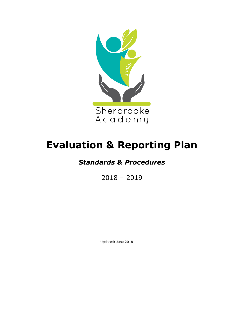

# **Evaluation & Reporting Plan**

# *Standards & Procedures*

2018 – 2019

Updated: June 2018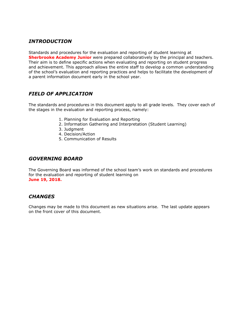### *INTRODUCTION*

Standards and procedures for the evaluation and reporting of student learning at **Sherbrooke Academy Junior** were prepared collaboratively by the principal and teachers. Their aim is to define specific actions when evaluating and reporting on student progress and achievement. This approach allows the entire staff to develop a common understanding of the school's evaluation and reporting practices and helps to facilitate the development of a parent information document early in the school year.

### *FIELD OF APPLICATION*

The standards and procedures in this document apply to all grade levels. They cover each of the stages in the evaluation and reporting process, namely:

- 1. Planning for Evaluation and Reporting
- 2. Information Gathering and Interpretation (Student Learning)
- 3. Judgment
- 4. Decision/Action
- 5. Communication of Results

### *GOVERNING BOARD*

The Governing Board was informed of the school team's work on standards and procedures for the evaluation and reporting of student learning on **June 19, 2018.**

### *CHANGES*

Changes may be made to this document as new situations arise. The last update appears on the front cover of this document.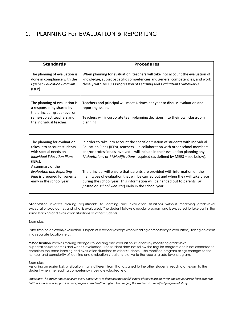### 1. PLANNING For EVALUATION & REPORTING

| <b>Standards</b>                                                                                                                                     | <b>Procedures</b>                                                                                                                                                                                                                                                                                                                |
|------------------------------------------------------------------------------------------------------------------------------------------------------|----------------------------------------------------------------------------------------------------------------------------------------------------------------------------------------------------------------------------------------------------------------------------------------------------------------------------------|
| The planning of evaluation is<br>done in compliance with the<br>Quebec Education Program<br>$(QEP)$ .                                                | When planning for evaluation, teachers will take into account the evaluation of<br>knowledge, subject-specific competencies and general competencies, and work<br>closely with MEES's Progression of Learning and Evaluation Frameworks.                                                                                         |
| The planning of evaluation is<br>a responsibility shared by<br>the principal, grade-level or<br>same-subject teachers and<br>the individual teacher. | Teachers and principal will meet 4 times per year to discuss evaluation and<br>reporting issues.<br>Teachers will incorporate team-planning decisions into their own classroom<br>planning.                                                                                                                                      |
| The planning for evaluation<br>takes into account students<br>with special needs on<br>Individual Education Plans<br>(IEPs).                         | In order to take into account the specific situation of students with Individual<br>Education Plans (IEPs), teachers - in collaboration with other school members<br>and/or professionals involved - will include in their evaluation planning any<br>*Adaptations or **Modifications required (as defined by MEES - see below). |
| A summary of the<br><b>Evaluation and Reporting</b><br>Plan is prepared for parents<br>early in the school year.                                     | The principal will ensure that parents are provided with information on the<br>main types of evaluation that will be carried out and when they will take place<br>during the school year. This information will be handed out to parents (or<br>posted on school web site) early in the school year.                             |

\***Adaptation** involves making adjustments to learning and evaluation situations without modifying grade-level expectations/outcomes and what is evaluated. The student follows a regular program and is expected to take part in the same learning and evaluation situations as other students.

Examples:

Extra time on an exam/evaluation, support of a reader (except when reading competency is evaluated), taking an exam in a separate location, etc.

**\*\*Modification** involves making changes to learning and evaluation situations by modifying grade-level expectations/outcomes and what is evaluated. The student does not follow the regular program and is not expected to complete the same learning and evaluation situations as other students. The modified program brings changes to the number and complexity of learning and evaluation situations relative to the regular grade-level program.

#### Examples:

Assigning an easier task or situation that is different from that assigned to the other students, reading an exam to the student when the reading competency is being evaluated, etc.

*Important: The student must be given every opportunity to demonstrate the full extent of their learning within the regular grade-level program (with resources and supports in place) before consideration is given to changing the student to a modified program of study.*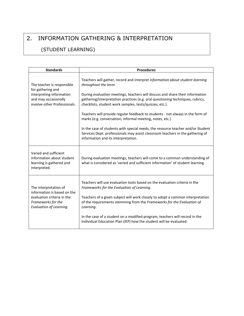# 2. INFORMATION GATHERING & INTERPRETATION

### (STUDENT LEARNING)

| <b>Standards</b>                                                                                                                    | <b>Procedures</b>                                                                                                                                                                                                                                                                                                                                                                                                                                                                                                                                                                                                                                                                             |
|-------------------------------------------------------------------------------------------------------------------------------------|-----------------------------------------------------------------------------------------------------------------------------------------------------------------------------------------------------------------------------------------------------------------------------------------------------------------------------------------------------------------------------------------------------------------------------------------------------------------------------------------------------------------------------------------------------------------------------------------------------------------------------------------------------------------------------------------------|
| The teacher is responsible<br>for gathering and<br>interpreting information<br>and may occasionally<br>involve other Professionals. | Teachers will gather, record and interpret information about student learning<br>throughout the term.<br>During evaluation meetings, teachers will discuss and share their information<br>gathering/interpretation practices (e.g. oral questioning techniques, rubrics,<br>checklists, student work samples, tests/quizzes, etc.).<br>Teachers will provide regular feedback to students - not always in the form of<br>marks (e.g. conversation, informal meeting, notes, etc.)<br>In the case of students with special needs, the resource teacher and/or Student<br>Services Dept. professionals may assist classroom teachers in the gathering of<br>information and its interpretation. |
| Varied and sufficient<br>information about student<br>learning is gathered and<br>interpreted.                                      | During evaluation meetings, teachers will come to a common understanding of<br>what is considered as 'varied and sufficient information' of student learning.                                                                                                                                                                                                                                                                                                                                                                                                                                                                                                                                 |
| The interpretation of<br>information is based on the<br>evaluation criteria in the<br>Frameworks for the<br>Evaluation of Learning. | Teachers will use evaluation tools based on the evaluation criteria in the<br>Frameworks for the Evaluation of Learning.<br>Teachers of a given subject will work closely to adopt a common interpretation<br>of the requirements stemming from the Frameworks for the Evaluation of<br>Learning.<br>In the case of a student on a modified program, teachers will record in the<br>Individual Education Plan (IEP) how the student will be evaluated.                                                                                                                                                                                                                                        |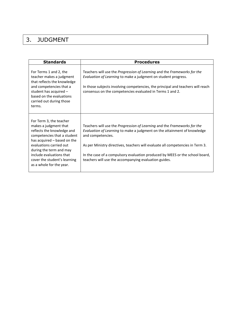## 3. JUDGMENT

| <b>Standards</b>                                                                                                                                                                                                                                                                           | <b>Procedures</b>                                                                                                                                                                                                                                                                                                                                                                                    |
|--------------------------------------------------------------------------------------------------------------------------------------------------------------------------------------------------------------------------------------------------------------------------------------------|------------------------------------------------------------------------------------------------------------------------------------------------------------------------------------------------------------------------------------------------------------------------------------------------------------------------------------------------------------------------------------------------------|
| For Terms 1 and 2, the<br>teacher makes a judgment<br>that reflects the knowledge<br>and competencies that a<br>student has acquired -<br>based on the evaluations<br>carried out during those<br>terms.                                                                                   | Teachers will use the Progression of Learning and the Frameworks for the<br>Evaluation of Learning to make a judgment on student progress.<br>In those subjects involving competencies, the principal and teachers will reach<br>consensus on the competencies evaluated in Terms 1 and 2.                                                                                                           |
| For Term 3, the teacher<br>makes a judgment that<br>reflects the knowledge and<br>competencies that a student<br>has acquired - based on the<br>evaluations carried out<br>during the term and may<br>include evaluations that<br>cover the student's learning<br>as a whole for the year. | Teachers will use the Progression of Learning and the Frameworks for the<br>Evaluation of Learning to make a judgment on the attainment of knowledge<br>and competencies.<br>As per Ministry directives, teachers will evaluate all competencies in Term 3.<br>In the case of a compulsory evaluation produced by MEES or the school board,<br>teachers will use the accompanying evaluation guides. |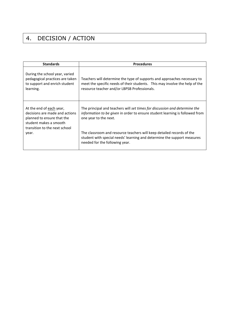# 4. DECISION / ACTION

| <b>Standards</b>                                                                                                                                             | <b>Procedures</b>                                                                                                                                                                                                                                            |
|--------------------------------------------------------------------------------------------------------------------------------------------------------------|--------------------------------------------------------------------------------------------------------------------------------------------------------------------------------------------------------------------------------------------------------------|
| During the school year, varied<br>pedagogical practices are taken<br>to support and enrich student<br>learning.                                              | Teachers will determine the type of supports and approaches necessary to<br>meet the specific needs of their students. This may involve the help of the<br>resource teacher and/or LBPSB Professionals.                                                      |
| At the end of each year,<br>decisions are made and actions<br>planned to ensure that the<br>student makes a smooth<br>transition to the next school<br>year. | The principal and teachers will set times for discussion and determine the<br>information to be given in order to ensure student learning is followed from<br>one year to the next.<br>The classroom and resource teachers will keep detailed records of the |
|                                                                                                                                                              | student with special needs' learning and determine the support measures<br>needed for the following year.                                                                                                                                                    |